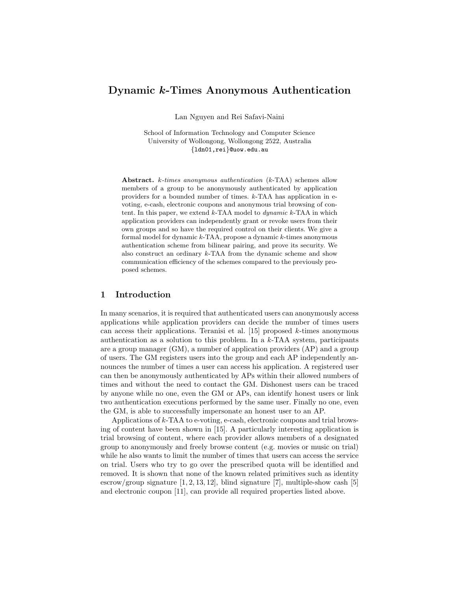# Dynamic k-Times Anonymous Authentication

Lan Nguyen and Rei Safavi-Naini

School of Information Technology and Computer Science University of Wollongong, Wollongong 2522, Australia {ldn01,rei}@uow.edu.au

Abstract. k-times anonymous authentication (k-TAA) schemes allow members of a group to be anonymously authenticated by application providers for a bounded number of times. k-TAA has application in evoting, e-cash, electronic coupons and anonymous trial browsing of content. In this paper, we extend  $k$ -TAA model to *dynamic*  $k$ -TAA in which application providers can independently grant or revoke users from their own groups and so have the required control on their clients. We give a formal model for dynamic  $k$ -TAA, propose a dynamic  $k$ -times anonymous authentication scheme from bilinear pairing, and prove its security. We also construct an ordinary k-TAA from the dynamic scheme and show communication efficiency of the schemes compared to the previously proposed schemes.

# 1 Introduction

In many scenarios, it is required that authenticated users can anonymously access applications while application providers can decide the number of times users can access their applications. Teranisi et al.  $[15]$  proposed k-times anonymous authentication as a solution to this problem. In a  $k$ -TAA system, participants are a group manager (GM), a number of application providers (AP) and a group of users. The GM registers users into the group and each AP independently announces the number of times a user can access his application. A registered user can then be anonymously authenticated by APs within their allowed numbers of times and without the need to contact the GM. Dishonest users can be traced by anyone while no one, even the GM or APs, can identify honest users or link two authentication executions performed by the same user. Finally no one, even the GM, is able to successfully impersonate an honest user to an AP.

Applications of k-TAA to e-voting, e-cash, electronic coupons and trial browsing of content have been shown in [15]. A particularly interesting application is trial browsing of content, where each provider allows members of a designated group to anonymously and freely browse content (e.g. movies or music on trial) while he also wants to limit the number of times that users can access the service on trial. Users who try to go over the prescribed quota will be identified and removed. It is shown that none of the known related primitives such as identity escrow/group signature [1, 2, 13, 12], blind signature [7], multiple-show cash [5] and electronic coupon [11], can provide all required properties listed above.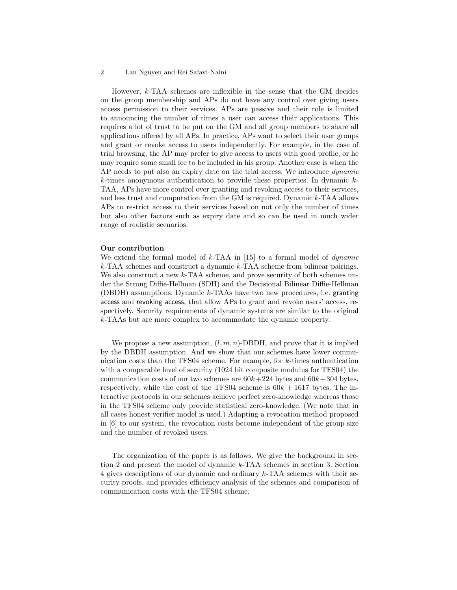However, k-TAA schemes are inflexible in the sense that the GM decides on the group membership and APs do not have any control over giving users access permission to their services. APs are passive and their role is limited to announcing the number of times a user can access their applications. This requires a lot of trust to be put on the GM and all group members to share all applications offered by all APs. In practice, APs want to select their user groups and grant or revoke access to users independently. For example, in the case of trial browsing, the AP may prefer to give access to users with good profile, or he may require some small fee to be included in his group. Another case is when the AP needs to put also an expiry date on the trial access. We introduce *dynamic*  $k$ -times anonymous authentication to provide these properties. In dynamic  $k$ -TAA, APs have more control over granting and revoking access to their services, and less trust and computation from the GM is required. Dynamic k-TAA allows APs to restrict access to their services based on not only the number of times but also other factors such as expiry date and so can be used in much wider range of realistic scenarios.

#### Our contribution

We extend the formal model of  $k$ -TAA in [15] to a formal model of *dynamic*  $k$ -TAA schemes and construct a dynamic  $k$ -TAA scheme from bilinear pairings. We also construct a new k-TAA scheme, and prove security of both schemes under the Strong Diffie-Hellman (SDH) and the Decisional Bilinear Diffie-Hellman (DBDH) assumptions. Dynamic k-TAAs have two new procedures, i.e. granting access and revoking access, that allow APs to grant and revoke users' access, respectively. Security requirements of dynamic systems are similar to the original k-TAAs but are more complex to accommodate the dynamic property.

We propose a new assumption,  $(l, m, n)$ -DBDH, and prove that it is implied by the DBDH assumption. And we show that our schemes have lower communication costs than the TFS04 scheme. For example, for  $k$ -times authentication with a comparable level of security (1024 bit composite modulus for TFS04) the communication costs of our two schemes are  $60k+224$  bytes and  $60k+304$  bytes, respectively, while the cost of the TFS04 scheme is  $60k + 1617$  bytes. The interactive protocols in our schemes achieve perfect zero-knowledge whereas those in the TFS04 scheme only provide statistical zero-knowledge. (We note that in all cases honest verifier model is used.) Adapting a revocation method proposed in [6] to our system, the revocation costs become independent of the group size and the number of revoked users.

The organization of the paper is as follows. We give the background in section 2 and present the model of dynamic k-TAA schemes in section 3. Section 4 gives descriptions of our dynamic and ordinary k-TAA schemes with their security proofs, and provides efficiency analysis of the schemes and comparison of communication costs with the TFS04 scheme.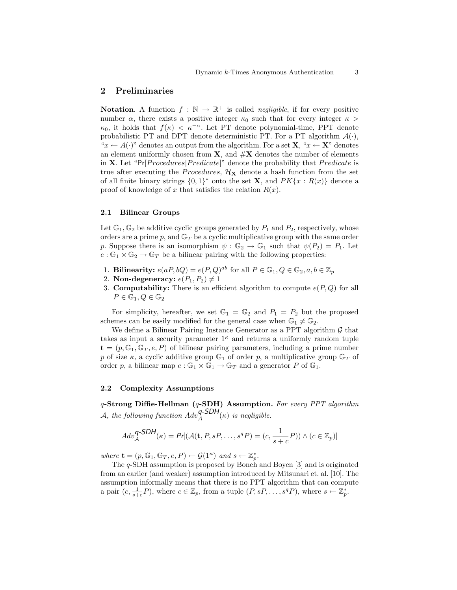# 2 Preliminaries

**Notation.** A function  $f : \mathbb{N} \to \mathbb{R}^+$  is called *negligible*, if for every positive number  $\alpha$ , there exists a positive integer  $\kappa_0$  such that for every integer  $\kappa$  >  $\kappa_0$ , it holds that  $f(\kappa) < \kappa^{-\alpha}$ . Let PT denote polynomial-time, PPT denote probabilistic PT and DPT denote deterministic PT. For a PT algorithm  $\mathcal{A}(\cdot)$ , " $x \leftarrow A(\cdot)$ " denotes an output from the algorithm. For a set  $X, "x \leftarrow X"$  denotes an element uniformly chosen from  $X$ , and  $\#X$  denotes the number of elements in **X**. Let "Pr[*Procedures*] $Predict$ " denote the probability that *Predicate* is true after executing the *Procedures*,  $\mathcal{H}_{\mathbf{X}}$  denote a hash function from the set of all finite binary strings  $\{0,1\}^*$  onto the set **X**, and  $PK\{x: R(x)\}$  denote a proof of knowledge of x that satisfies the relation  $R(x)$ .

### 2.1 Bilinear Groups

Let  $\mathbb{G}_1, \mathbb{G}_2$  be additive cyclic groups generated by  $P_1$  and  $P_2$ , respectively, whose orders are a prime  $p$ , and  $\mathbb{G}_T$  be a cyclic multiplicative group with the same order p. Suppose there is an isomorphism  $\psi : \mathbb{G}_2 \to \mathbb{G}_1$  such that  $\psi(P_2) = P_1$ . Let  $e:\mathbb{G}_1\times\mathbb{G}_2\to\mathbb{G}_T$  be a bilinear pairing with the following properties:

- 1. Bilinearity:  $e(aP, bQ) = e(P, Q)^{ab}$  for all  $P \in \mathbb{G}_1, Q \in \mathbb{G}_2, a, b \in \mathbb{Z}_p$
- 2. Non-degeneracy:  $e(P_1, P_2) \neq 1$
- 3. **Computability:** There is an efficient algorithm to compute  $e(P,Q)$  for all  $P \in \mathbb{G}_1, Q \in \mathbb{G}_2$

For simplicity, hereafter, we set  $\mathbb{G}_1 = \mathbb{G}_2$  and  $P_1 = P_2$  but the proposed schemes can be easily modified for the general case when  $\mathbb{G}_1 \neq \mathbb{G}_2$ .

We define a Bilinear Pairing Instance Generator as a PPT algorithm  $\mathcal G$  that takes as input a security parameter  $1^{\kappa}$  and returns a uniformly random tuple  $\mathbf{t} = (p, \mathbb{G}_1, \mathbb{G}_T, e, P)$  of bilinear pairing parameters, including a prime number p of size  $\kappa$ , a cyclic additive group  $\mathbb{G}_1$  of order p, a multiplicative group  $\mathbb{G}_T$  of order p, a bilinear map  $e : \mathbb{G}_1 \times \mathbb{G}_1 \to \mathbb{G}_T$  and a generator P of  $\mathbb{G}_1$ .

# 2.2 Complexity Assumptions

 $q$ -Strong Diffie-Hellman ( $q$ -SDH) Assumption. For every PPT algorithm A, the following function  $Adv_{\mathcal{A}}^{\mathbf{q}\text{-}\mathbf{S}\mathbf{D}\mathbf{H}'}(\kappa)$  is negligible.

$$
Adv_{\mathcal{A}}^{\mathbf{q}\text{-}}SDH_{(\kappa)} = Pr[(\mathcal{A}(\mathbf{t}, P, sP, \dots, s^qP) = (c, \frac{1}{s+c}P)) \land (c \in \mathbb{Z}_p)]
$$

where  $\mathbf{t} = (p, \mathbb{G}_1, \mathbb{G}_T, e, P) \leftarrow \mathcal{G}(1^{\kappa})$  and  $s \leftarrow \mathbb{Z}_p^*$ .

The q-SDH assumption is proposed by Boneh and Boyen [3] and is originated from an earlier (and weaker) assumption introduced by Mitsunari et. al. [10]. The assumption informally means that there is no PPT algorithm that can compute a pair  $(c, \frac{1}{s+c}P)$ , where  $c \in \mathbb{Z}_p$ , from a tuple  $(P, sP, \ldots, s^qP)$ , where  $s \leftarrow \mathbb{Z}_p^*$ .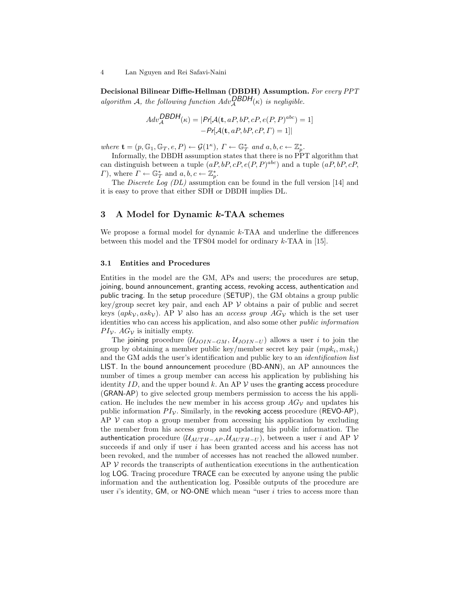Decisional Bilinear Diffie-Hellman (DBDH) Assumption. For every PPT algorithm A, the following function  $Adv_{\mathcal{A}}^{DBDH}(\kappa)$  is negligible.

$$
Adv_{\mathcal{A}}^{DBDH}(\kappa) = |Pr[\mathcal{A}(\mathbf{t}, aP, bP, cP, e(P, P)^{abc}) = 1] - Pr[\mathcal{A}(\mathbf{t}, aP, bP, cP, \Gamma) = 1]|
$$

where  $\mathbf{t} = (p, \mathbb{G}_1, \mathbb{G}_T, e, P) \leftarrow \mathcal{G}(1^{\kappa}), \Gamma \leftarrow \mathbb{G}_T^*$  and  $a, b, c \leftarrow \mathbb{Z}_p^*$ .

Informally, the DBDH assumption states that there is no PPT algorithm that can distinguish between a tuple  $(aP, bP, cP, e(P, P)^{abc})$  and a tuple  $(aP, bP, cP, eQ)$  $\Gamma$ ), where  $\Gamma \leftarrow \mathbb{G}_T^*$  and  $a, b, c \leftarrow \mathbb{Z}_p^*$ .

The Discrete Log (DL) assumption can be found in the full version [14] and it is easy to prove that either SDH or DBDH implies DL.

# 3 A Model for Dynamic k-TAA schemes

We propose a formal model for dynamic  $k$ -TAA and underline the differences between this model and the TFS04 model for ordinary k-TAA in [15].

#### 3.1 Entities and Procedures

Entities in the model are the GM, APs and users; the procedures are setup, joining, bound announcement, granting access, revoking access, authentication and public tracing. In the setup procedure (SETUP), the GM obtains a group public key/group secret key pair, and each AP  $\mathcal V$  obtains a pair of public and secret keys  $(apk<sub>V</sub>, ask<sub>V</sub>)$ . AP V also has an *access group AG*<sub>V</sub> which is the set user identities who can access his application, and also some other public information  $PI_{\mathcal{V}}$ .  $AG_{\mathcal{V}}$  is initially empty.

The joining procedure  $(U_{JOIN-GM}, U_{JOIN-U})$  allows a user i to join the group by obtaining a member public key/member secret key pair  $(mpk<sub>i</sub>,msk<sub>i</sub>)$ and the GM adds the user's identification and public key to an identification list LIST. In the bound announcement procedure (BD-ANN), an AP announces the number of times a group member can access his application by publishing his identity  $ID$ , and the upper bound k. An AP  $V$  uses the granting access procedure (GRAN-AP) to give selected group members permission to access the his application. He includes the new member in his access group  $AG<sub>V</sub>$  and updates his public information  $PI_v$ . Similarly, in the revoking access procedure (REVO-AP), AP  $\mathcal V$  can stop a group member from accessing his application by excluding the member from his access group and updating his public information. The authentication procedure  $(U_{AUTH-AP}, U_{AUTH-U})$ , between a user i and AP V succeeds if and only if user i has been granted access and his access has not been revoked, and the number of accesses has not reached the allowed number.  $AP$   $V$  records the transcripts of authentication executions in the authentication log LOG. Tracing procedure TRACE can be executed by anyone using the public information and the authentication log. Possible outputs of the procedure are user i's identity, GM, or NO-ONE which mean "user i tries to access more than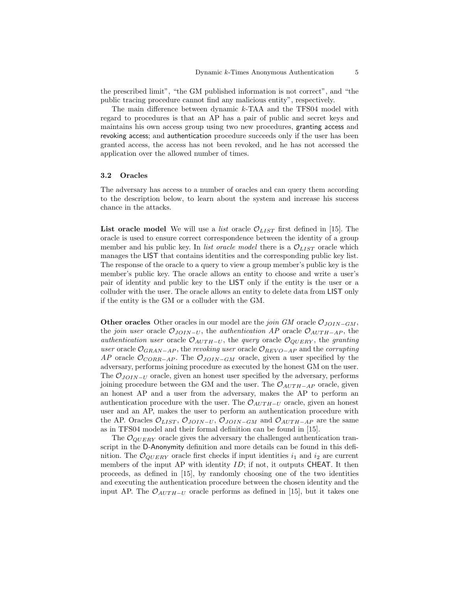the prescribed limit", "the GM published information is not correct", and "the public tracing procedure cannot find any malicious entity", respectively.

The main difference between dynamic k-TAA and the TFS04 model with regard to procedures is that an AP has a pair of public and secret keys and maintains his own access group using two new procedures, granting access and revoking access; and authentication procedure succeeds only if the user has been granted access, the access has not been revoked, and he has not accessed the application over the allowed number of times.

# 3.2 Oracles

The adversary has access to a number of oracles and can query them according to the description below, to learn about the system and increase his success chance in the attacks.

**List oracle model** We will use a *list* oracle  $\mathcal{O}_{LIST}$  first defined in [15]. The oracle is used to ensure correct correspondence between the identity of a group member and his public key. In *list oracle model* there is a  $\mathcal{O}_{LIST}$  oracle which manages the LIST that contains identities and the corresponding public key list. The response of the oracle to a query to view a group member's public key is the member's public key. The oracle allows an entity to choose and write a user's pair of identity and public key to the LIST only if the entity is the user or a colluder with the user. The oracle allows an entity to delete data from LIST only if the entity is the GM or a colluder with the GM.

Other oracles Other oracles in our model are the *join GM* oracle  $\mathcal{O}_{JOIN-GM}$ , the join user oracle  $\mathcal{O}_{JOIN-U}$ , the *authentication AP* oracle  $\mathcal{O}_{AUTH-AP}$ , the authentication user oracle  $\mathcal{O}_{AUTH-U}$ , the query oracle  $\mathcal{O}_{QUERY}$ , the granting user oracle  $\mathcal{O}_{GRAN-AP}$ , the revoking user oracle  $\mathcal{O}_{REVO-AP}$  and the corrupting AP oracle  $\mathcal{O}_{CORR-AP}$ . The  $\mathcal{O}_{JOIN-GM}$  oracle, given a user specified by the adversary, performs joining procedure as executed by the honest GM on the user. The  $\mathcal{O}_{JOIN-U}$  oracle, given an honest user specified by the adversary, performs joining procedure between the GM and the user. The  $\mathcal{O}_{AUTH-AP}$  oracle, given an honest AP and a user from the adversary, makes the AP to perform an authentication procedure with the user. The  $\mathcal{O}_{AUTH-U}$  oracle, given an honest user and an AP, makes the user to perform an authentication procedure with the AP. Oracles  $\mathcal{O}_{LIST}$ ,  $\mathcal{O}_{JOIN-U}$ ,  $\mathcal{O}_{JOIN-GM}$  and  $\mathcal{O}_{AUTH-AP}$  are the same as in TFS04 model and their formal definition can be found in [15].

The  $\mathcal{O}_{QUERY}$  oracle gives the adversary the challenged authentication transcript in the D-Anonymity definition and more details can be found in this definition. The  $\mathcal{O}_{QUERY}$  oracle first checks if input identities  $i_1$  and  $i_2$  are current members of the input AP with identity  $ID$ ; if not, it outputs CHEAT. It then proceeds, as defined in [15], by randomly choosing one of the two identities and executing the authentication procedure between the chosen identity and the input AP. The  $\mathcal{O}_{AUTH-U}$  oracle performs as defined in [15], but it takes one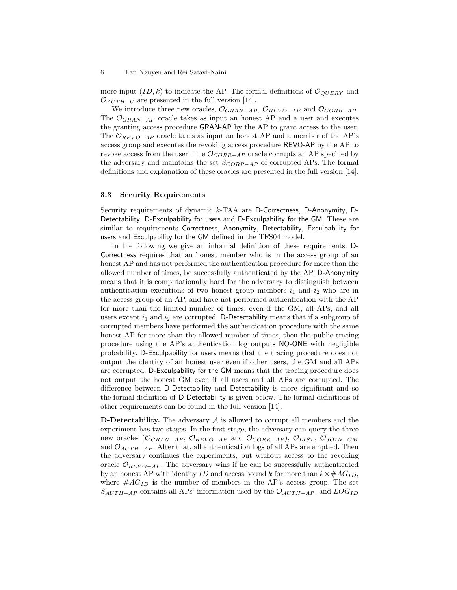more input  $(ID, k)$  to indicate the AP. The formal definitions of  $\mathcal{O}_{QUERY}$  and  $\mathcal{O}_{AUTH-U}$  are presented in the full version [14].

We introduce three new oracles,  $\mathcal{O}_{GRAN-AP}$ ,  $\mathcal{O}_{REVO-AP}$  and  $\mathcal{O}_{CORR-AP}$ . The  $O_{GRAN-AP}$  oracle takes as input an honest AP and a user and executes the granting access procedure GRAN-AP by the AP to grant access to the user. The  $\mathcal{O}_{REVO-AP}$  oracle takes as input an honest AP and a member of the AP's access group and executes the revoking access procedure REVO-AP by the AP to revoke access from the user. The  $\mathcal{O}_{CORR-AP}$  oracle corrupts an AP specified by the adversary and maintains the set  $S_{CORR-AP}$  of corrupted APs. The formal definitions and explanation of these oracles are presented in the full version [14].

# 3.3 Security Requirements

Security requirements of dynamic k-TAA are D-Correctness, D-Anonymity, D-Detectability, D-Exculpability for users and D-Exculpability for the GM. These are similar to requirements Correctness, Anonymity, Detectability, Exculpability for users and Exculpability for the GM defined in the TFS04 model.

In the following we give an informal definition of these requirements. D-Correctness requires that an honest member who is in the access group of an honest AP and has not performed the authentication procedure for more than the allowed number of times, be successfully authenticated by the AP. D-Anonymity means that it is computationally hard for the adversary to distinguish between authentication executions of two honest group members  $i_1$  and  $i_2$  who are in the access group of an AP, and have not performed authentication with the AP for more than the limited number of times, even if the GM, all APs, and all users except  $i_1$  and  $i_2$  are corrupted. D-Detectability means that if a subgroup of corrupted members have performed the authentication procedure with the same honest AP for more than the allowed number of times, then the public tracing procedure using the AP's authentication log outputs NO-ONE with negligible probability. D-Exculpability for users means that the tracing procedure does not output the identity of an honest user even if other users, the GM and all APs are corrupted. D-Exculpability for the GM means that the tracing procedure does not output the honest GM even if all users and all APs are corrupted. The difference between D-Detectability and Detectability is more significant and so the formal definition of D-Detectability is given below. The formal definitions of other requirements can be found in the full version [14].

**D-Detectability.** The adversary  $A$  is allowed to corrupt all members and the experiment has two stages. In the first stage, the adversary can query the three new oracles ( $\mathcal{O}_{GRAN-AP}$ ,  $\mathcal{O}_{REVO-AP}$  and  $\mathcal{O}_{CORR-AP}$ ),  $\mathcal{O}_{LIST}$ ,  $\mathcal{O}_{JOIN-GM}$ and  $\mathcal{O}_{AUTH-AP}$ . After that, all authentication logs of all APs are emptied. Then the adversary continues the experiments, but without access to the revoking oracle  $\mathcal{O}_{REVO-AP}$ . The adversary wins if he can be successfully authenticated by an honest AP with identity ID and access bound k for more than  $k \times #AG_{ID}$ , where  $\#AG_{ID}$  is the number of members in the AP's access group. The set  $S_{AUTH-AP}$  contains all APs' information used by the  $\mathcal{O}_{AUTH-AP}$ , and  $LOG_{ID}$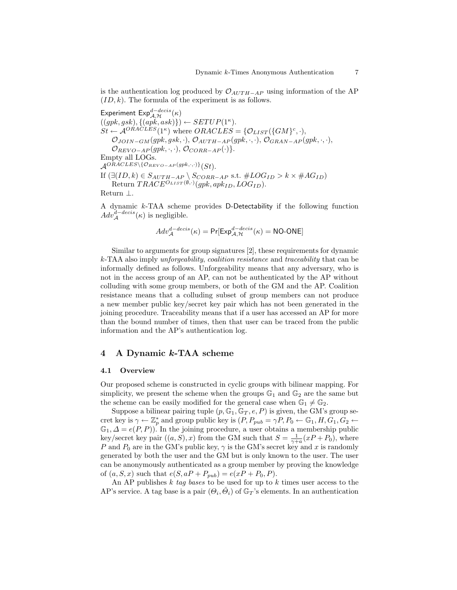is the authentication log produced by  $\mathcal{O}_{AUTH-AP}$  using information of the AP  $(ID, k)$ . The formula of the experiment is as follows.

Experiment  $\mathsf{Exp}^{d-decis}_{\mathcal{A},\mathcal{H}}(\kappa)$  $((gpk, gsk), \{(apk, ask)\}) \leftarrow SETUP(1^{\kappa}).$  $St \leftarrow \mathcal{A}^{ORACLES}(1^{\kappa})$  where  $ORACLES = \{ \mathcal{O}_{LIST}(\{GM\}^c, \cdot), \}$  $\mathcal{O}_{JOIN-GM}(gpk, gsk, \cdot), \mathcal{O}_{AUTH-AP}(gpk, \cdot, \cdot), \mathcal{O}_{GRAN-AP}(gpk, \cdot, \cdot),$  $\mathcal{O}_{REVO-AP}(gpk, \cdot, \cdot), \mathcal{O}_{CORR-AP}(\cdot).$ Empty all LOGs.  $\mathcal{A}^{ORACLES\setminus\{\mathcal{O}_{REVO-AP}(gpk,\cdot,\cdot)\}}(St).$ If  $(\exists (ID, k) \in S_{AUTH-AP} \setminus S_{CORR-AP} \text{ s.t. } #LOG_{ID} > k \times #AG_{ID})$ Return  $TRACE^{O_{LIST}(\emptyset, \cdot)}(gpk, apk_{ID}, LOG_{ID}).$ 

Return ⊥.

A dynamic k-TAA scheme provides D-Detectability if the following function  $Adv_{\mathcal{A}}^{d-decis}(\kappa)$  is negligible.

$$
Adv_{\mathcal{A}}^{d-decis}(\kappa) = \Pr[\text{Exp}_{\mathcal{A}, \mathcal{H}}^{d-decis}(\kappa) = \text{NO-ONE}]
$$

Similar to arguments for group signatures [2], these requirements for dynamic k-TAA also imply unforgeability, coalition resistance and traceability that can be informally defined as follows. Unforgeability means that any adversary, who is not in the access group of an AP, can not be authenticated by the AP without colluding with some group members, or both of the GM and the AP. Coalition resistance means that a colluding subset of group members can not produce a new member public key/secret key pair which has not been generated in the joining procedure. Traceability means that if a user has accessed an AP for more than the bound number of times, then that user can be traced from the public information and the AP's authentication log.

# 4 A Dynamic k-TAA scheme

### 4.1 Overview

Our proposed scheme is constructed in cyclic groups with bilinear mapping. For simplicity, we present the scheme when the groups  $\mathbb{G}_1$  and  $\mathbb{G}_2$  are the same but the scheme can be easily modified for the general case when  $\mathbb{G}_1 \neq \mathbb{G}_2$ .

Suppose a bilinear pairing tuple  $(p, \mathbb{G}_1, \mathbb{G}_T, e, P)$  is given, the GM's group secret key is  $\gamma \leftarrow \mathbb{Z}_p^*$  and group public key is  $(P, P_{pub} = \gamma P, P_0 \leftarrow \mathbb{G}_1, H, G_1, G_2 \leftarrow$  $\mathbb{G}_1, \Delta = e(P, P)$ . In the joining procedure, a user obtains a membership public key/secret key pair  $((a, S), x)$  from the GM such that  $S = \frac{1}{\gamma + a}(xP + P_0)$ , where P and  $P_0$  are in the GM's public key,  $\gamma$  is the GM's secret key and x is randomly generated by both the user and the GM but is only known to the user. The user can be anonymously authenticated as a group member by proving the knowledge of  $(a, S, x)$  such that  $e(S, aP + P_{pub}) = e(xP + P_0, P)$ .

An AP publishes  $k$  tag bases to be used for up to  $k$  times user access to the AP's service. A tag base is a pair  $(\Theta_i, \check{\Theta}_i)$  of  $\mathbb{G}_T$ 's elements. In an authentication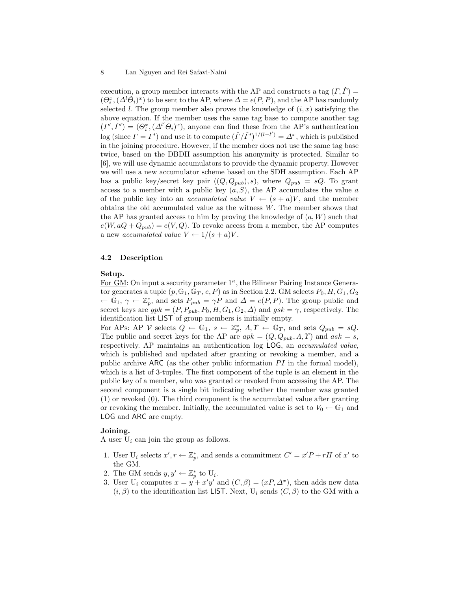execution, a group member interacts with the AP and constructs a tag  $(\Gamma, \check{\Gamma}) =$  $(\Theta_i^x, (\Delta^l \check{\Theta}_i)^x)$  to be sent to the AP, where  $\Delta = e(P, P)$ , and the AP has randomly selected l. The group member also proves the knowledge of  $(i, x)$  satisfying the above equation. If the member uses the same tag base to compute another tag  $(\Gamma', \check{\Gamma}') = (\Theta_i^x, (\Delta^{l'}\check{\Theta}_i)^x)$ , anyone can find these from the AP's authentication log (since  $\Gamma = \Gamma'$ ) and use it to compute  $(\check{\Gamma}/\check{\Gamma}')^{1/(l-l')} = \Delta^x$ , which is published in the joining procedure. However, if the member does not use the same tag base twice, based on the DBDH assumption his anonymity is protected. Similar to [6], we will use dynamic accumulators to provide the dynamic property. However we will use a new accumulator scheme based on the SDH assumption. Each AP has a public key/secret key pair  $((Q, Q_{pub}), s)$ , where  $Q_{pub} = sQ$ . To grant access to a member with a public key  $(a, S)$ , the AP accumulates the value a of the public key into an *accumulated value*  $V \leftarrow (s + a)V$ , and the member obtains the old accumulated value as the witness  $W$ . The member shows that the AP has granted access to him by proving the knowledge of  $(a, W)$  such that  $e(W, aQ + Q_{pub}) = e(V, Q)$ . To revoke access from a member, the AP computes a new accumulated value  $V \leftarrow 1/(s+a)V$ .

# 4.2 Description

# Setup.

For  $GM$ : On input a security parameter  $1^{\kappa}$ , the Bilinear Pairing Instance Generator generates a tuple  $(p, \mathbb{G}_1, \mathbb{G}_T, e, P)$  as in Section 2.2. GM selects  $P_0, H, G_1, G_2$  $\leftarrow \mathbb{G}_1, \gamma \leftarrow \mathbb{Z}_p^*$ , and sets  $P_{pub} = \gamma P$  and  $\Delta = e(P, P)$ . The group public and secret keys are  $gpk = (P, P_{pub}, P_0, H, G_1, G_2, \Delta)$  and  $gsk = \gamma$ , respectively. The identification list LIST of group members is initially empty.

For APs: AP V selects  $Q \leftarrow \mathbb{G}_1$ ,  $s \leftarrow \mathbb{Z}_p^*$ ,  $\Lambda, \Upsilon \leftarrow \mathbb{G}_T$ , and sets  $Q_{pub} = sQ$ . The public and secret keys for the AP are  $apk = (Q, Q_{pub}, \Lambda, \Upsilon)$  and  $ask = s$ , respectively. AP maintains an authentication log LOG, an accumulated value, which is published and updated after granting or revoking a member, and a public archive ARC (as the other public information  $PI$  in the formal model), which is a list of 3-tuples. The first component of the tuple is an element in the public key of a member, who was granted or revoked from accessing the AP. The second component is a single bit indicating whether the member was granted (1) or revoked (0). The third component is the accumulated value after granting or revoking the member. Initially, the accumulated value is set to  $V_0 \leftarrow \mathbb{G}_1$  and LOG and ARC are empty.

# Joining.

A user  $U_i$  can join the group as follows.

- 1. User  $U_i$  selects  $x', r \leftarrow \mathbb{Z}_p^*$ , and sends a commitment  $C' = x'P + rH$  of  $x'$  to the GM.
- 2. The GM sends  $y, y' \leftarrow \mathbb{Z}_p^*$  to  $U_i$ .
- 3. User  $U_i$  computes  $x = y + x'y'$  and  $(C, \beta) = (xP, \Delta^x)$ , then adds new data  $(i, \beta)$  to the identification list LIST. Next,  $U_i$  sends  $(C, \beta)$  to the GM with a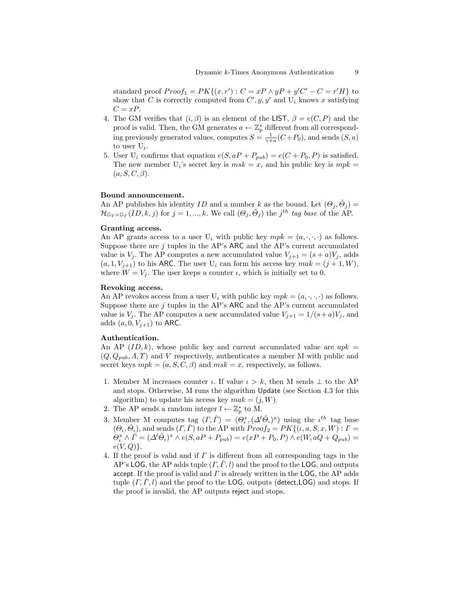standard proof  $Proof_1 = PK{(x,r'): C = xP \wedge yP + y'C' - C = r'H}$  to show that C is correctly computed from  $C', y, y'$  and  $U_i$  knows x satisfying  $C = xP$ .

- 4. The GM verifies that  $(i, \beta)$  is an element of the LIST,  $\beta = e(C, P)$  and the proof is valid. Then, the GM generates  $a \leftarrow \mathbb{Z}_p^*$  different from all corresponding previously generated values, computes  $S = \frac{1}{\gamma+a}(C+P_0)$ , and sends  $(S, a)$ to user  $U_i$ .
- 5. User  $U_i$  confirms that equation  $e(S, aP + P_{pub}) = e(C + P_0, P)$  is satisfied. The new member  $U_i$ 's secret key is  $msk = x$ , and his public key is  $mpk = x$  $(a, S, C, \beta).$

### Bound announcement.

An AP publishes his identity ID and a number k as the bound. Let  $(\Theta_j, \check{\Theta}_j)$  =  $\mathcal{H}_{\mathbb{G}_T\times\mathbb{G}_T}(ID, k, j)$  for  $j = 1, ..., k$ . We call  $(\Theta_j, \check{\Theta}_j)$  the  $j^{th}$  tag base of the AP.

# Granting access.

An AP grants access to a user  $U_i$  with public key  $mpk = (a, \cdot, \cdot, \cdot)$  as follows. Suppose there are  $j$  tuples in the AP's ARC and the AP's current accumulated value is  $V_j$ . The AP computes a new accumulated value  $V_{j+1} = (s+a)V_j$ , adds  $(a, 1, V_{i+1})$  to his ARC. The user U<sub>i</sub> can form his access key  $mak = (j+1, W)$ , where  $W = V_i$ . The user keeps a counter  $\iota$ , which is initially set to 0.

# Revoking access.

An AP revokes access from a user  $U_i$  with public key  $mpk = (a, \cdot, \cdot, \cdot)$  as follows. Suppose there are  $j$  tuples in the AP's ARC and the AP's current accumulated value is  $V_j$ . The AP computes a new accumulated value  $V_{j+1} = 1/(s+a)V_j$ , and adds  $(a, 0, V_{j+1})$  to ARC.

### Authentication.

An AP  $(ID, k)$ , whose public key and current accumulated value are  $apk =$  $(Q, Q_{pub}, \Lambda, \Upsilon)$  and V respectively, authenticates a member M with public and secret keys  $mpk = (a, S, C, \beta)$  and  $msk = x$ , respectively, as follows.

- 1. Member M increases counter  $\iota$ . If value  $\iota > k$ , then M sends  $\bot$  to the AP and stops. Otherwise, M runs the algorithm Update (see Section 4.3 for this algorithm) to update his access key  $mak = (j, W)$ .
- 2. The AP sends a random integer  $l \leftarrow \mathbb{Z}_p^*$  to M.
- 3. Member M computes tag  $(\Gamma, \check{\Gamma}) = (\Theta_{\iota}^{x}, (\Delta^{l} \check{\Theta}_{\iota})^{x})$  using the  $\iota^{th}$  tag base  $(\Theta_t, \check{\Theta}_t)$ , and sends  $(\Gamma, \check{\Gamma})$  to the AP with  $Proof_2 = PK\{(\iota, a, S, x, W): \Gamma =$  $\hat{\Theta}^x_t \wedge \breve{\varGamma} = (\varDelta^l \check{\varTheta}_\iota)^x \wedge e(S,aP+P_{pub}) = e(xP+P_0,P) \wedge e(W,aQ+Q_{pub}) =$  $e(V,Q)$ .
- 4. If the proof is valid and if  $\Gamma$  is different from all corresponding tags in the AP's LOG, the AP adds tuple  $(\Gamma, \Gamma, l)$  and the proof to the LOG, and outputs accept. If the proof is valid and  $\Gamma$  is already written in the LOG, the AP adds tuple  $(\Gamma, \Gamma, l)$  and the proof to the LOG, outputs (detect, LOG) and stops. If the proof is invalid, the AP outputs reject and stops.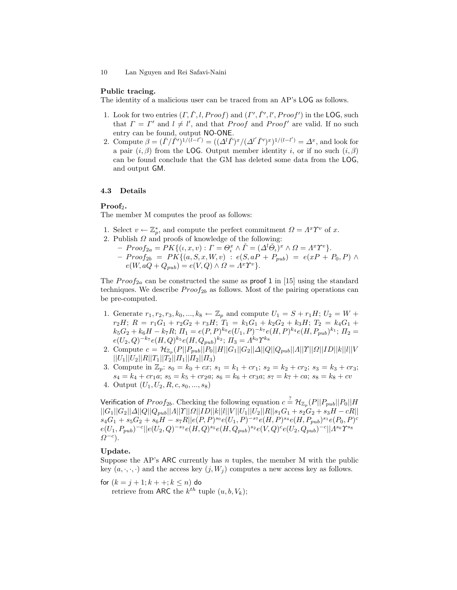### Public tracing.

The identity of a malicious user can be traced from an AP's LOG as follows.

- 1. Look for two entries  $(\Gamma, \check{\Gamma}, \mathit{l}, \mathit{Proof})$  and  $(\Gamma', \check{\Gamma}', \mathit{l}', \mathit{Proof}')$  in the LOG, such that  $\Gamma = \Gamma'$  and  $l \neq l'$ , and that *Proof* and *Proof'* are valid. If no such entry can be found, output NO-ONE.
- 2. Compute  $\beta = (\check{\Gamma}/\check{\Gamma}')^{1/(\hat{l}-l')} = ((\Delta^l \check{\Gamma})^x/(\Delta^{l'} \check{\Gamma}')^x)^{1/(l-l')} = \Delta^x$ , and look for a pair  $(i, \beta)$  from the LOG. Output member identity i, or if no such  $(i, \beta)$ can be found conclude that the GM has deleted some data from the LOG, and output GM.

### 4.3 Details

#### $Proof<sub>2</sub>$ .

The member M computes the proof as follows:

- 1. Select  $v \leftarrow \mathbb{Z}_p^*$ , and compute the perfect commitment  $\Omega = \Lambda^x \Upsilon^v$  of x.
- 2. Publish  $\Omega$  and proofs of knowledge of the following:
	- $-$  P  $Proof_{2a} = PK\{(\iota, x, v) : \Gamma = \Theta_{\iota}^{x} \wedge \check{\Gamma} = (\Delta^{l} \check{\Theta}_{\iota})^{x} \wedge \Omega = \Lambda^{x} \Upsilon^{v}\}.$
	- $Proof_{2b}$  =  $PK{(a, S, x, W, v)} : e(S, aP + P_{pub}) = e(xP + P_0, P) \wedge$  $e(W, aQ + Q_{pub}) = e(V, Q) \wedge \Omega = \Lambda^x \Upsilon^v$ .

The  $Proof_{2a}$  can be constructed the same as proof 1 in [15] using the standard techniques. We describe  $Proof_{2b}$  as follows. Most of the pairing operations can be pre-computed.

- 1. Generate  $r_1, r_2, r_3, k_0, ..., k_8 \leftarrow \mathbb{Z}_p$  and compute  $U_1 = S + r_1 H$ ;  $U_2 = W +$  $r_2H$ ;  $R = r_1G_1 + r_2G_2 + r_3H$ ;  $T_1 = k_1G_1 + k_2G_2 + k_3H$ ;  $T_2 = k_4G_1 +$  $k_5G_2 + k_6H - k_7R; I\!I_1 = e(P, P)^{k_0}e(U_1, P)^{-k_7}e(H, P)^{k_4}e(H, P_{pub})^{k_1}; I\!I_2 =$  $e(U_2, Q)^{-k_7} e(H, Q)^{k_5} e(H, Q_{pub})^{k_2};$   $\Pi_3 = \Lambda^{k_0} \Upsilon^{k_8}$
- 2. Compute  $c = \mathcal{H}_{\mathbb{Z}_p}(P||P_{pub}||P_0||H||G_1||G_2||\Delta||Q||Q_{pub}||A||T||\Omega||ID||k||l||V$  $||U_1||U_2||R||T_1||T_2||H_1||T_2||T_3$
- 3. Compute in  $\mathbb{Z}_p$ :  $s_0 = k_0 + cx$ ;  $s_1 = k_1 + cr_1$ ;  $s_2 = k_2 + cr_2$ ;  $s_3 = k_3 + cr_3$ ;  $s_4 = k_4 + cr_1a$ ;  $s_5 = k_5 + cr_2a$ ;  $s_6 = k_6 + cr_3a$ ;  $s_7 = k_7 + ca$ ;  $s_8 = k_8 + cv$
- 4. Output  $(U_1, U_2, R, c, s_0, ..., s_8)$

Verification of  $Proof_{2b}$ . Checking the following equation  $c \stackrel{?}{=} {\cal H}_{\mathbb{Z}_p}(P||P_{pub}||P_0||H)$  $||G_1||G_2||\Delta||Q||Q_{pub}||\Lambda||T||\Omega||ID||k||l||V||U_1||U_2||R||s_1G_1+s_2G_2+s_3H-cR||$  $s_4G_1 + s_5G_2 + s_6H - s_7R||e(P, P)^{s_0}e(U_1, P)^{-s_7}e(H, P)^{s_4}e(H, P_{pub})^{s_1}e(P_0, P)^{c_5}$  $e(U_1, P_{pub})^{-c}||e(U_2, Q)^{-s_7}e(H, Q)^{s_5}e(H, Q_{pub})^{s_2}e(V, Q)^c e(U_2, Q_{pub})^{-c}||\varLambda^{s_0}\varUpsilon^{s_8}$  $\Omega^{-c}$ ).

### Update.

Suppose the AP's ARC currently has  $n$  tuples, the member M with the public key  $(a, \cdot, \cdot, \cdot)$  and the access key  $(j, W_j)$  computes a new access key as follows.

for  $(k = j + 1; k + +; k \leq n)$  do

retrieve from ARC the  $k^{th}$  tuple  $(u, b, V_k);$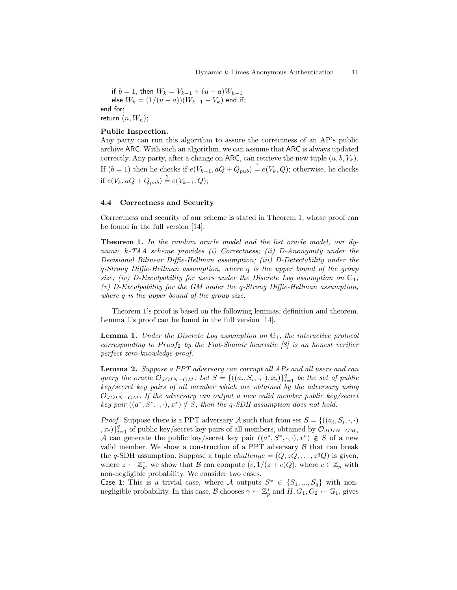if  $b = 1$ , then  $W_k = V_{k-1} + (u - a)W_{k-1}$ else  $W_k = (1/(u-a))(W_{k-1} - V_k)$  end if; end for; return  $(n, W_n);$ 

## Public Inspection.

Any party can run this algorithm to assure the correctness of an AP's public archive ARC. With such an algorithm, we can assume that ARC is always updated correctly. Any party, after a change on ARC, can retrieve the new tuple  $(u, b, V_k)$ . If  $(b = 1)$  then he checks if  $e(V_{k-1}, aQ + Q_{pub}) \stackrel{?}{=} e(V_k, Q)$ ; otherwise, he checks if  $e(V_k, aQ + Q_{pub}) \stackrel{?}{=} e(V_{k-1}, Q);$ 

# 4.4 Correctness and Security

Correctness and security of our scheme is stated in Theorem 1, whose proof can be found in the full version [14].

Theorem 1. In the random oracle model and the list oracle model, our dynamic k-TAA scheme provides (i) Correctness; (ii) D-Anonymity under the Decisional Bilinear Diffie-Hellman assumption; (iii) D-Detectability under the q-Strong Diffie-Hellman assumption, where q is the upper bound of the group size; (iv) D-Exculpability for users under the Discrete Log assumption on  $\mathbb{G}_1$ ; (v) D-Exculpability for the GM under the q-Strong Diffie-Hellman assumption, where q is the upper bound of the group size.

Theorem 1's proof is based on the following lemmas, definition and theorem. Lemma 1's proof can be found in the full version [14].

**Lemma 1.** Under the Discrete Log assumption on  $\mathbb{G}_1$ , the interactive protocol corresponding to  $Proof_2$  by the Fiat-Shamir heuristic [8] is an honest verifier perfect zero-knowledge proof.

Lemma 2. Suppose a PPT adversary can corrupt all APs and all users and can query the oracle  $\mathcal{O}_{JOIN-GM}$ . Let  $S = \{((a_i, S_i, \cdot, \cdot), x_i)\}_{i=1}^q$  be the set of public key/secret key pairs of all member which are obtained by the adversary using  $\mathcal{O}_{JOIN-GM}$ . If the adversary can output a new valid member public key/secret key pair  $((a^*, S^*, \cdot, \cdot), x^*) \notin S$ , then the q-SDH assumption does not hold.

*Proof.* Suppose there is a PPT adversary A such that from set  $S = \{((a_i, S_i, \cdot, \cdot)$  $(x_i)$ <sup>q</sup><sub>i=1</sub> of public key/secret key pairs of all members, obtained by  $\mathcal{O}_{JOIN-GM}$ , A can generate the public key/secret key pair  $((a^*, S^*, \cdot, \cdot), x^*) \notin S$  of a new valid member. We show a construction of a PPT adversary  $\beta$  that can break the q-SDH assumption. Suppose a tuple *challenge* =  $(Q, zQ, \ldots, z^qQ)$  is given, where  $z \leftarrow \mathbb{Z}_p^*$ , we show that  $\mathcal{B}$  can compute  $(c, 1/(z + c)Q)$ , where  $c \in \mathbb{Z}_p$  with non-negligible probability. We consider two cases.

Case 1: This is a trivial case, where A outputs  $S^* \in \{S_1, ..., S_q\}$  with nonnegligible probability. In this case,  $\mathcal{B}$  chooses  $\gamma \leftarrow \mathbb{Z}_p^*$  and  $H, G_1, G_2 \leftarrow \mathbb{G}_1$ , gives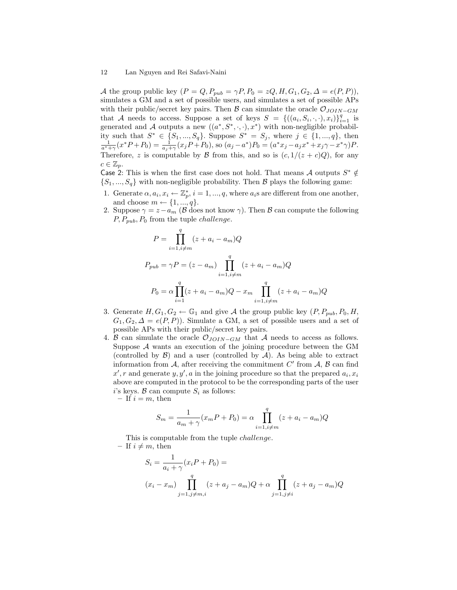A the group public key  $(P = Q, P_{pub} = \gamma P, P_0 = zQ, H, G_1, G_2, \Delta = e(P, P)),$ simulates a GM and a set of possible users, and simulates a set of possible APs with their public/secret key pairs. Then B can simulate the oracle  $\mathcal{O}_{JOIN-GM}$ that A needs to access. Suppose a set of keys  $S = \{((a_i, S_i, \cdot, \cdot), x_i)\}_{i=1}^q$  is generated and A outputs a new  $((a^*,S^*,\cdot,\cdot),x^*)$  with non-negligible probability such that  $S^* \in \{S_1, ..., S_q\}$ . Suppose  $S^* = S_j$ , where  $j \in \{1, ..., q\}$ , then  $\frac{1}{a^* + \gamma}(x^*P + P_0) = \frac{1}{a_j + \gamma}(x_jP + P_0)$ , so  $(a_j - a^*)P_0 = (a^*x_j - a_jx^* + x_j\gamma - x^*\gamma)P$ . Therefore, z is computable by  $\beta$  from this, and so is  $(c, 1/(z + c)Q)$ , for any  $c \in \mathbb{Z}_p$ .

Case 2: This is when the first case does not hold. That means A outputs  $S^* \notin$  $\{S_1, ..., S_q\}$  with non-negligible probability. Then  $\beta$  plays the following game:

- 1. Generate  $\alpha, a_i, x_i \leftarrow \mathbb{Z}_p^*, i = 1, ..., q$ , where  $a_i$ s are different from one another, and choose  $m \leftarrow \{1, ..., q\}.$
- 2. Suppose  $\gamma = z a_m$  ( $\beta$  does not know  $\gamma$ ). Then  $\beta$  can compute the following  $P, P_{pub}, P_0$  from the tuple *challenge*.

$$
P = \prod_{i=1, i \neq m}^{q} (z + a_i - a_m)Q
$$
  
\n
$$
P_{pub} = \gamma P = (z - a_m) \prod_{i=1, i \neq m}^{q} (z + a_i - a_m)Q
$$
  
\n
$$
P_0 = \alpha \prod_{i=1}^{q} (z + a_i - a_m)Q - x_m \prod_{i=1, i \neq m}^{q} (z + a_i - a_m)Q
$$

- 3. Generate  $H, G_1, G_2 \leftarrow \mathbb{G}_1$  and give A the group public key  $(P, P_{pub}, P_0, H, P_1, P_2)$  $G_1, G_2, \Delta = e(P, P)$ . Simulate a GM, a set of possible users and a set of possible APs with their public/secret key pairs.
- 4. B can simulate the oracle  $\mathcal{O}_{JOIN-GM}$  that A needs to access as follows. Suppose A wants an execution of the joining procedure between the GM (controlled by  $\mathcal{B}$ ) and a user (controlled by  $\mathcal{A}$ ). As being able to extract information from  $A$ , after receiving the commitment  $C'$  from  $A$ ,  $B$  can find  $x', r$  and generate  $y, y', a$  in the joining procedure so that the prepared  $a_i, x_i$ above are computed in the protocol to be the corresponding parts of the user i's keys. B can compute  $S_i$  as follows:

- If 
$$
i = m
$$
, then

$$
S_m = \frac{1}{a_m + \gamma}(x_m P + P_0) = \alpha \prod_{i=1, i \neq m}^{q} (z + a_i - a_m)Q
$$

This is computable from the tuple challenge.

– If  $i \neq m$ , then

$$
S_i = \frac{1}{a_i + \gamma} (x_i P + P_0) =
$$
  

$$
(x_i - x_m) \prod_{j=1, j \neq m, i}^{q} (z + a_j - a_m) Q + \alpha \prod_{j=1, j \neq i}^{q} (z + a_j - a_m) Q
$$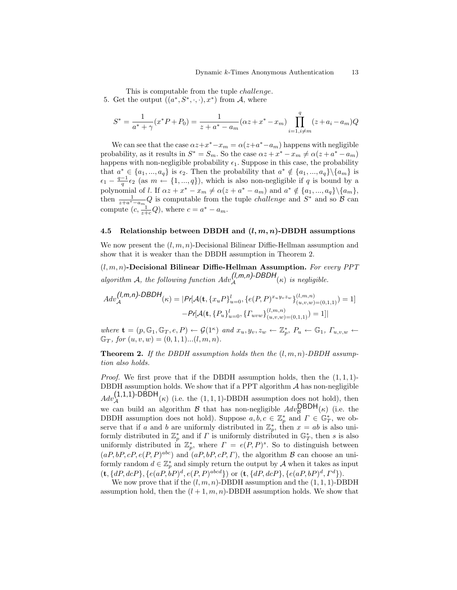This is computable from the tuple *challenge*. 5. Get the output  $((a^*,S^*,\cdot,\cdot),x^*)$  from A, where

$$
S^* = \frac{1}{a^* + \gamma}(x^*P + P_0) = \frac{1}{z + a^* - a_m}(\alpha z + x^* - x_m) \prod_{i=1, i \neq m}^{q} (z + a_i - a_m)Q
$$

We can see that the case  $\alpha z + x^* - x_m = \alpha (z + a^* - a_m)$  happens with negligible probability, as it results in  $S^* = S_m$ . So the case  $\alpha z + x^* - x_m \neq \alpha (z + a^* - a_m)$ happens with non-negligible probability  $\epsilon_1$ . Suppose in this case, the probability that  $a^* \in \{a_1, ..., a_q\}$  is  $\epsilon_2$ . Then the probability that  $a^* \notin \{a_1, ..., a_q\} \setminus \{a_m\}$  is  $\epsilon_1 - \frac{q-1}{q} \epsilon_2$  (as  $m \leftarrow \{1, ..., q\}$ ), which is also non-negligible if q is bound by a polynomial of l. If  $\alpha z + x^* - x_m \neq \alpha(z + a^* - a_m)$  and  $a^* \notin \{a_1, ..., a_q\} \setminus \{a_m\},$ then  $\frac{1}{z+a^*-a_m}Q$  is computable from the tuple *challenge* and S<sup>\*</sup> and so B<sup>3</sup> can compute  $(c, \frac{1}{z+c}Q)$ , where  $c = a^* - a_m$ .

#### 4.5 Relationship between DBDH and  $(l, m, n)$ -DBDH assumptions

We now present the  $(l, m, n)$ -Decisional Bilinear Diffie-Hellman assumption and show that it is weaker than the DBDH assumption in Theorem 2.

 $(l, m, n)$ -Decisional Bilinear Diffie-Hellman Assumption. For every PPT algorithm A, the following function  $Adv_{\mathcal{A}}^{(l,m,n)}\text{-DBDH}_{(\kappa)}$  is negligible.

$$
Adv_{\mathcal{A}}^{(l,m,n)-DBDH}(\kappa) = |Pr[\mathcal{A}(\mathbf{t}, \{x_u P\}_{u=0}^l, \{e(P, P)^{x_u y_v z_w}\}_{(u,v,w)=(0,1,1)}^{(l,m,n)}) = 1] - Pr[\mathcal{A}(\mathbf{t}, \{P_u\}_{u=0}^l, \{T_{uvw}\}_{(u,v,w)=(0,1,1)}^{(l,m,n)}) = 1]|
$$

where  $\mathbf{t} = (p, \mathbb{G}_1, \mathbb{G}_T, e, P) \leftarrow \mathcal{G}(1^{\kappa})$  and  $x_u, y_v, z_w \leftarrow \mathbb{Z}_p^*, P_u \leftarrow \mathbb{G}_1, \Gamma_{u,v,w} \leftarrow$  $\mathbb{G}_T$ , for  $(u, v, w) = (0, 1, 1)...(l, m, n)$ .

**Theorem 2.** If the DBDH assumption holds then the  $(l, m, n)$ -DBDH assumption also holds.

*Proof.* We first prove that if the DBDH assumption holds, then the  $(1, 1, 1)$ -DBDH assumption holds. We show that if a PPT algorithm  $A$  has non-negligible  $Adv_{\mathcal{A}}^{(1,1,1)}$ -DBDH $(\kappa)$  (i.e. the  $(1,1,1)$ -DBDH assumption does not hold), then we can build an algorithm B that has non-negligible  $Adv_B^{DBDH}(\kappa)$  (i.e. the DBDH assumption does not hold). Suppose  $a, b, c \in \mathbb{Z}_p^*$  and  $\Gamma \in \mathbb{G}_T^*$ , we observe that if a and b are uniformly distributed in  $\mathbb{Z}_p^*$ , then  $x = ab$  is also uniformly distributed in  $\mathbb{Z}_p^*$  and if  $\Gamma$  is uniformly distributed in  $\mathbb{G}_T^*$ , then s is also uniformly distributed in  $\mathbb{Z}_p^*$ , where  $\Gamma = e(P, P)^s$ . So to distinguish between  $(aP, bP, cP, e(P, P)^{abc})$  and  $(aP, bP, cP, \Gamma)$ , the algorithm B can choose an uniformly random  $d \in \mathbb{Z}_p^*$  and simply return the output by A when it takes as input  $(t, \{dP, dcP\}, \{e(aP, bP)^d, e(P, P)^{abcd}\})$  or  $(t, \{dP, dcP\}, \{e(aP, bP)^d, \Gamma^d\}).$ 

We now prove that if the  $(l, m, n)$ -DBDH assumption and the  $(1, 1, 1)$ -DBDH assumption hold, then the  $(l + 1, m, n)$ -DBDH assumption holds. We show that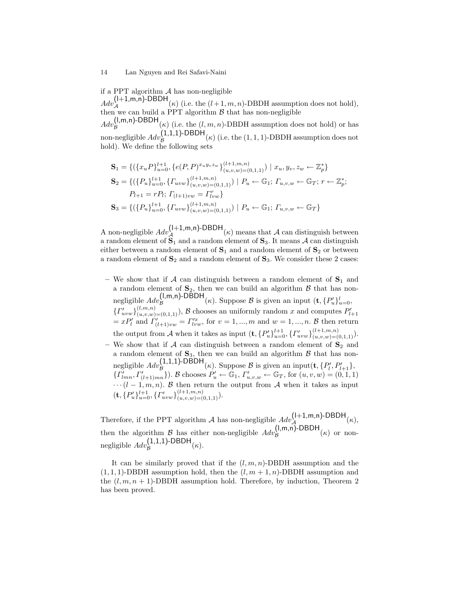if a PPT algorithm  $A$  has non-negligible

 $Adv_{\mathcal{A}}^{(l+1,m,n)\text{-DBDH}}(\kappa)$  (i.e. the  $(l+1,m,n)\text{-DBDH}$  assumption does not hold), then we can build a PPT algorithm  $\beta$  that has non-negligible

 $Adv_{\mathcal{B}}^{(l,m,n)\text{-DBDH}}(\kappa)$  (i.e. the  $(l,m,n)\text{-DBDH}$  assumption does not hold) or has non-negligible  $Adv^{(1,1,1)-\sf DBDH}_{\sf(\kappa)}$  (i.e. the (1, 1, 1)-DBDH assumption does not hold). We define the following sets

$$
\mathbf{S}_{1} = \{ (\{x_{u}P\}_{u=0}^{l+1}, \{e(P,P)^{x_{u}y_{v}z_{w}}\}_{(u,v,w)=(0,1,1)}^{(l+1,m,n)}) \mid x_{u}, y_{v}, z_{w} \leftarrow \mathbb{Z}_{p}^{*} \}
$$
\n
$$
\mathbf{S}_{2} = \{ (\{P_{u}\}_{u=0}^{l+1}, \{T_{uvw}\}_{(u,v,w)=(0,1,1)}^{(l+1,m,n)}) \mid P_{u} \leftarrow \mathbb{G}_{1}; T_{u,v,w} \leftarrow \mathbb{G}_{T}; r \leftarrow \mathbb{Z}_{p}^{*};
$$
\n
$$
P_{l+1} = rP_{l}; T_{(l+1)vw} = \Gamma_{lvw}^{r} \}
$$
\n
$$
\mathbf{S}_{3} = \{ (\{P_{u}\}_{u=0}^{l+1}, \{T_{uvw}\}_{(u,v,w)=(0,1,1)}^{(l+1,m,n)}) \mid P_{u} \leftarrow \mathbb{G}_{1}; T_{u,v,w} \leftarrow \mathbb{G}_{T} \}
$$

A non-negligible  $Adv^{(\textsf{I+1},\textsf{m},\textsf{n})\text{-DBDH}}_{\mathcal{A}}(\kappa)$  means that  $\mathcal A$  can distinguish between a random element of  $S_1$  and a random element of  $S_3$ . It means  $A$  can distinguish either between a random element of  $S_1$  and a random element of  $S_2$  or between a random element of  $S_2$  and a random element of  $S_3$ . We consider these 2 cases:

- We show that if A can distinguish between a random element of  $S_1$  and a random element of  $S_2$ , then we can build an algorithm  $\beta$  that has nonnegligible  $Adv^{(l,m,n)-DBDH}_B(\kappa)$ . Suppose  $B$  is given an input  $(\mathbf{t}, \{P'_u\}_{u=0}^l,$  $\{ \Gamma'_{uvw}\}_{(u,v,w)=(0,1,1)}^{(l,m,n)}$ ,  $\beta$  chooses an uniformly random x and computes  $P'_{l+1}$ <br>=  $xP'_{l}$  and  $\Gamma'_{(l+1)vw} = \Gamma'_{low}$ , for  $v = 1,...,m$  and  $w = 1,...,n$ .  $\beta$  then return the output from A when it takes as input  $(\mathbf{t}, \{P'_u\}_{u=0}^{l+1}, \{P'_{uvw}\}_{(u,v,w)=(0,1,1)}^{(l+1,m,n)}).$ We show that if A can distinguish between a random element of  $S_2$  and
- a random element of  $S_3$ , then we can build an algorithm  $\beta$  that has nonnegligible  $Adv^{(1,1,1)-\sf DBDH}_B(\kappa)$ . Suppose  $\mathcal B$  is given an input $(\mathbf t, \{P'_l, P'_{l+1}\},$  $\{\Gamma'_{lmn},\Gamma'_{(l+1)mn}\}\)$ . B chooses  $P'_{u} \leftarrow \mathbb{G}_1, \Gamma'_{u,v,w} \leftarrow \mathbb{G}_T$ , for  $(u, v, w) = (0, 1, 1)$  $\cdots (l-1, m, n)$ . B then return the output from A when it takes as input  $(\mathbf{t}, \{P'_u\}_{u=0}^{l+1}, \{P'_{uvw}\}_{(u,v,w)=(0,1,1)}^{(l+1,m,n)}).$

Therefore, if the PPT algorithm A has non-negligible  $Adv_{\mathcal{A}}^{(l+1,m,n)}\text{-DBDH}_{(\kappa),}$ then the algorithm  $\mathcal B$  has either non-negligible  $Adv_B^{(1,m,n)}$ -DBDH $_{(\kappa)}$  or nonnegligible  $Adv_{\mathcal{B}}^{(1,1,1)\text{-DBDH}}(\kappa)$ .

It can be similarly proved that if the  $(l, m, n)$ -DBDH assumption and the  $(1, 1, 1)$ -DBDH assumption hold, then the  $(l, m + 1, n)$ -DBDH assumption and the  $(l, m, n + 1)$ -DBDH assumption hold. Therefore, by induction, Theorem 2 has been proved.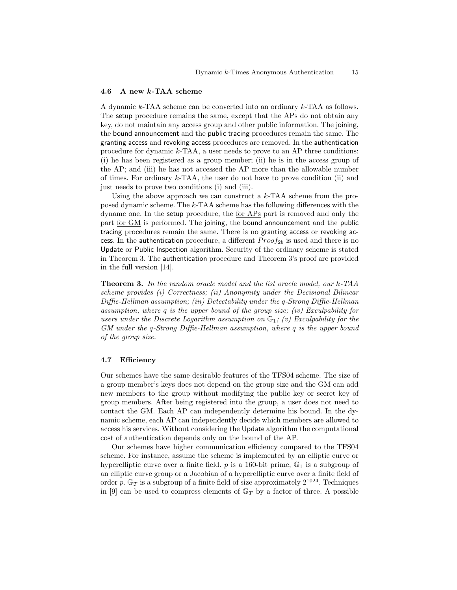### 4.6 A new k-TAA scheme

A dynamic k-TAA scheme can be converted into an ordinary k-TAA as follows. The setup procedure remains the same, except that the APs do not obtain any key, do not maintain any access group and other public information. The joining, the bound announcement and the public tracing procedures remain the same. The granting access and revoking access procedures are removed. In the authentication procedure for dynamic k-TAA, a user needs to prove to an AP three conditions: (i) he has been registered as a group member; (ii) he is in the access group of the AP; and (iii) he has not accessed the AP more than the allowable number of times. For ordinary  $k$ -TAA, the user do not have to prove condition (ii) and just needs to prove two conditions (i) and (iii).

Using the above approach we can construct a  $k$ -TAA scheme from the proposed dynamic scheme. The k-TAA scheme has the following differences with the dynamc one. In the setup procedure, the for APs part is removed and only the part for GM is performed. The joining, the bound announcement and the public tracing procedures remain the same. There is no granting access or revoking access. In the authentication procedure, a different  $Proof_{2b}$  is used and there is no Update or Public Inspection algorithm. Security of the ordinary scheme is stated in Theorem 3. The authentication procedure and Theorem 3's proof are provided in the full version [14].

Theorem 3. In the random oracle model and the list oracle model, our k-TAA scheme provides (i) Correctness; (ii) Anonymity under the Decisional Bilinear Diffie-Hellman assumption; (iii) Detectability under the q-Strong Diffie-Hellman assumption, where q is the upper bound of the group size; (iv) Exculpability for users under the Discrete Logarithm assumption on  $\mathbb{G}_1$ ; (v) Exculpability for the GM under the q-Strong Diffie-Hellman assumption, where q is the upper bound of the group size.

### 4.7 Efficiency

Our schemes have the same desirable features of the TFS04 scheme. The size of a group member's keys does not depend on the group size and the GM can add new members to the group without modifying the public key or secret key of group members. After being registered into the group, a user does not need to contact the GM. Each AP can independently determine his bound. In the dynamic scheme, each AP can independently decide which members are allowed to access his services. Without considering the Update algorithm the computational cost of authentication depends only on the bound of the AP.

Our schemes have higher communication efficiency compared to the TFS04 scheme. For instance, assume the scheme is implemented by an elliptic curve or hyperelliptic curve over a finite field.  $p$  is a 160-bit prime,  $\mathbb{G}_1$  is a subgroup of an elliptic curve group or a Jacobian of a hyperelliptic curve over a finite field of order p.  $\mathbb{G}_T$  is a subgroup of a finite field of size approximately  $2^{1024}$ . Techniques in [9] can be used to compress elements of  $\mathbb{G}_T$  by a factor of three. A possible